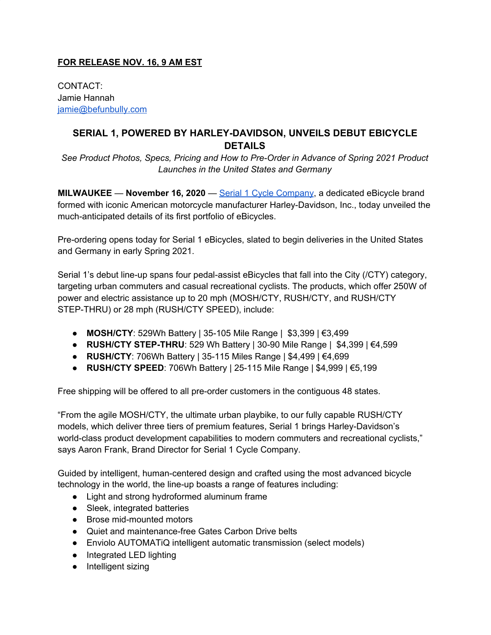## **FOR RELEASE NOV. 16, 9 AM EST**

CONTACT: Jamie Hannah [jamie@befunbully.com](mailto:jamie@funbully.com)

## **SERIAL 1, POWERED BY HARLEY-DAVIDSON, UNVEILS DEBUT EBICYCLE DETAILS**

*See Product Photos, Specs, Pricing and How to Pre-Order in Advance of Spring 2021 Product Launches in the United States and Germany*

**MILWAUKEE** — **November 16, 2020** — Serial 1 Cycle [Company,](http://www.serial1.com/) a dedicated eBicycle brand formed with iconic American motorcycle manufacturer Harley-Davidson, Inc., today unveiled the much-anticipated details of its first portfolio of eBicycles.

Pre-ordering opens today for Serial 1 eBicycles, slated to begin deliveries in the United States and Germany in early Spring 2021.

Serial 1's debut line-up spans four pedal-assist eBicycles that fall into the City (/CTY) category, targeting urban commuters and casual recreational cyclists. The products, which offer 250W of power and electric assistance up to 20 mph (MOSH/CTY, RUSH/CTY, and RUSH/CTY STEP-THRU) or 28 mph (RUSH/CTY SPEED), include:

- **MOSH/CTY**: 529Wh Battery | 35-105 Mile Range | \$3,399 | €3,499
- **RUSH/CTY STEP-THRU**: 529 Wh Battery | 30-90 Mile Range | \$4,399 | €4,599
- **RUSH/CTY**: 706Wh Battery | 35-115 Miles Range | \$4,499 | €4,699
- **RUSH/CTY SPEED**: 706Wh Battery | 25-115 Mile Range | \$4,999 | €5,199

Free shipping will be offered to all pre-order customers in the contiguous 48 states.

"From the agile MOSH/CTY, the ultimate urban playbike, to our fully capable RUSH/CTY models, which deliver three tiers of premium features, Serial 1 brings Harley-Davidson's world-class product development capabilities to modern commuters and recreational cyclists," says Aaron Frank, Brand Director for Serial 1 Cycle Company.

Guided by intelligent, human-centered design and crafted using the most advanced bicycle technology in the world, the line-up boasts a range of features including:

- Light and strong hydroformed aluminum frame
- Sleek, integrated batteries
- Brose mid-mounted motors
- Quiet and maintenance-free Gates Carbon Drive belts
- Enviolo AUTOMATiQ intelligent automatic transmission (select models)
- Integrated LED lighting
- Intelligent sizing